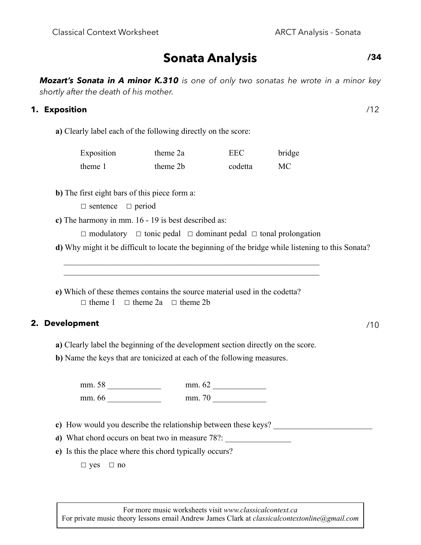# **Sonata Analysis**

*Mozart's Sonata in A minor K.310 is one of only two sonatas he wrote in a minor key shortly after the death of his mother.*

#### **1. Exposition**

**a)** Clearly label each of the following directly on the score:

| Exposition | theme 2a | EEC     | bridge |
|------------|----------|---------|--------|
| theme 1    | theme 2b | codetta | MC     |

**b)** The first eight bars of this piece form a:

☐ sentence ☐ period

**c)** The harmony in mm. 16 - 19 is best described as:

☐ modulatory ☐ tonic pedal ☐ dominant pedal ☐ tonal prolongation

**d)** Why might it be difficult to locate the beginning of the bridge while listening to this Sonata?

**e)** Which of these themes contains the source material used in the codetta? ☐ theme 1 ☐ theme 2a ☐ theme 2b

 $\mathcal{L}_\text{max} = \frac{1}{2} \sum_{i=1}^n \mathcal{L}_\text{max}(\mathbf{z}_i - \mathbf{z}_i)$ 

 $\mathcal{L}_\text{max}$  , and the contribution of the contribution of the contribution of the contribution of the contribution of the contribution of the contribution of the contribution of the contribution of the contribution of t

### **2. Development**

/10

**a)** Clearly label the beginning of the development section directly on the score.

**b)** Name the keys that are tonicized at each of the following measures.

mm. 58 \_\_\_\_\_\_\_\_\_\_\_\_\_ mm. 62 \_\_\_\_\_\_\_\_\_\_\_\_\_ mm. 66 \_\_\_\_\_\_\_\_\_\_\_\_\_ mm. 70 \_\_\_\_\_\_\_\_\_\_\_\_\_

- **c**) How would you describe the relationship between these keys?
- **d)** What chord occurs on beat two in measure 78?:
- **e)** Is this the place where this chord typically occurs?

☐ yes ☐ no

For more music worksheets visit *www.classicalcontext.ca* For private music theory lessons email Andrew James Clark at *classicalcontextonline@gmail.com*

## **/34**

/12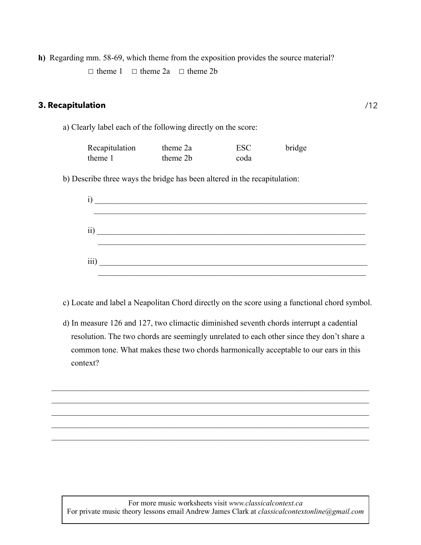**h)** Regarding mm. 58-69, which theme from the exposition provides the source material?

☐ theme 1 ☐ theme 2a ☐ theme 2b

#### **3. Recapitulation**

a) Clearly label each of the following directly on the score:

| Recapitulation | theme 2a | <b>ESC</b> | bridge |
|----------------|----------|------------|--------|
| theme 1        | theme 2b | coda       |        |

b) Describe three ways the bridge has been altered in the recapitulation:

| $\overline{iii}$ |  |  |  |
|------------------|--|--|--|

c) Locate and label a Neapolitan Chord directly on the score using a functional chord symbol.

d) In measure 126 and 127, two climactic diminished seventh chords interrupt a cadential resolution. The two chords are seemingly unrelated to each other since they don't share a common tone. What makes these two chords harmonically acceptable to our ears in this context?

 $\mathcal{L}_\mathcal{L} = \{ \mathcal{L}_\mathcal{L} = \{ \mathcal{L}_\mathcal{L} = \{ \mathcal{L}_\mathcal{L} = \{ \mathcal{L}_\mathcal{L} = \{ \mathcal{L}_\mathcal{L} = \{ \mathcal{L}_\mathcal{L} = \{ \mathcal{L}_\mathcal{L} = \{ \mathcal{L}_\mathcal{L} = \{ \mathcal{L}_\mathcal{L} = \{ \mathcal{L}_\mathcal{L} = \{ \mathcal{L}_\mathcal{L} = \{ \mathcal{L}_\mathcal{L} = \{ \mathcal{L}_\mathcal{L} = \{ \mathcal{L}_\mathcal{$  $\mathcal{L}_\mathcal{L} = \{ \mathcal{L}_\mathcal{L} = \{ \mathcal{L}_\mathcal{L} = \{ \mathcal{L}_\mathcal{L} = \{ \mathcal{L}_\mathcal{L} = \{ \mathcal{L}_\mathcal{L} = \{ \mathcal{L}_\mathcal{L} = \{ \mathcal{L}_\mathcal{L} = \{ \mathcal{L}_\mathcal{L} = \{ \mathcal{L}_\mathcal{L} = \{ \mathcal{L}_\mathcal{L} = \{ \mathcal{L}_\mathcal{L} = \{ \mathcal{L}_\mathcal{L} = \{ \mathcal{L}_\mathcal{L} = \{ \mathcal{L}_\mathcal{$  $\mathcal{L}_\mathcal{L} = \{ \mathcal{L}_\mathcal{L} = \{ \mathcal{L}_\mathcal{L} = \{ \mathcal{L}_\mathcal{L} = \{ \mathcal{L}_\mathcal{L} = \{ \mathcal{L}_\mathcal{L} = \{ \mathcal{L}_\mathcal{L} = \{ \mathcal{L}_\mathcal{L} = \{ \mathcal{L}_\mathcal{L} = \{ \mathcal{L}_\mathcal{L} = \{ \mathcal{L}_\mathcal{L} = \{ \mathcal{L}_\mathcal{L} = \{ \mathcal{L}_\mathcal{L} = \{ \mathcal{L}_\mathcal{L} = \{ \mathcal{L}_\mathcal{$  $\mathcal{L}_\mathcal{L} = \{ \mathcal{L}_\mathcal{L} = \{ \mathcal{L}_\mathcal{L} = \{ \mathcal{L}_\mathcal{L} = \{ \mathcal{L}_\mathcal{L} = \{ \mathcal{L}_\mathcal{L} = \{ \mathcal{L}_\mathcal{L} = \{ \mathcal{L}_\mathcal{L} = \{ \mathcal{L}_\mathcal{L} = \{ \mathcal{L}_\mathcal{L} = \{ \mathcal{L}_\mathcal{L} = \{ \mathcal{L}_\mathcal{L} = \{ \mathcal{L}_\mathcal{L} = \{ \mathcal{L}_\mathcal{L} = \{ \mathcal{L}_\mathcal{$  $\mathcal{L}_\mathcal{L} = \{ \mathcal{L}_\mathcal{L} = \{ \mathcal{L}_\mathcal{L} = \{ \mathcal{L}_\mathcal{L} = \{ \mathcal{L}_\mathcal{L} = \{ \mathcal{L}_\mathcal{L} = \{ \mathcal{L}_\mathcal{L} = \{ \mathcal{L}_\mathcal{L} = \{ \mathcal{L}_\mathcal{L} = \{ \mathcal{L}_\mathcal{L} = \{ \mathcal{L}_\mathcal{L} = \{ \mathcal{L}_\mathcal{L} = \{ \mathcal{L}_\mathcal{L} = \{ \mathcal{L}_\mathcal{L} = \{ \mathcal{L}_\mathcal{$ 

For more music worksheets visit *www.classicalcontext.ca* For private music theory lessons email Andrew James Clark at *classicalcontextonline@gmail.com*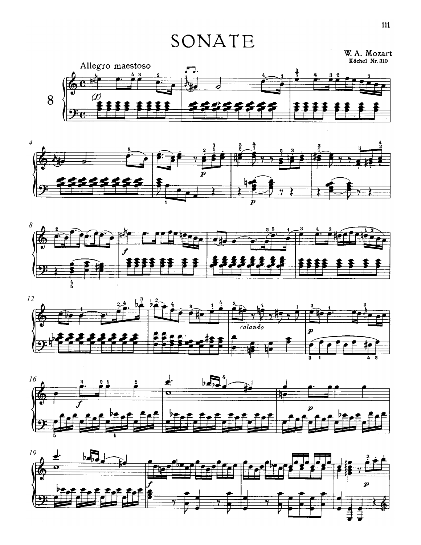# SONATE

W. A. Mozart<br>Köchel Nr. 310











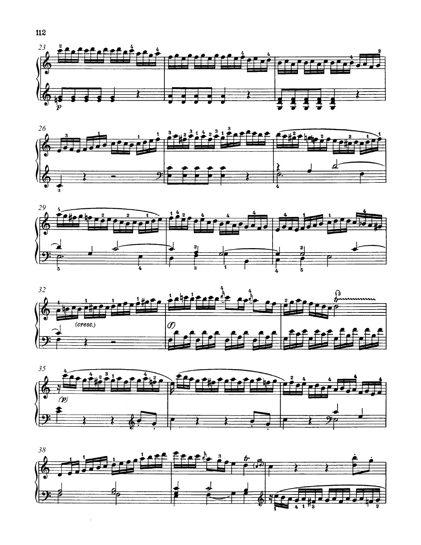









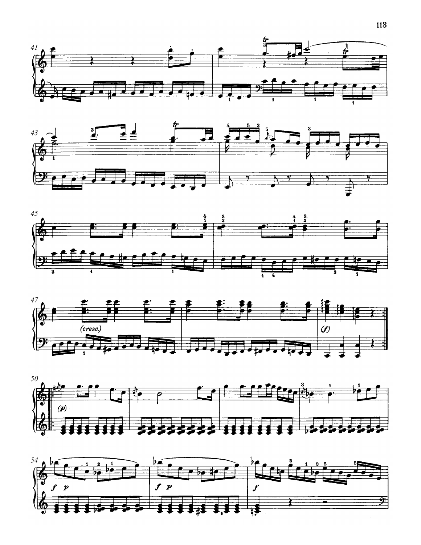









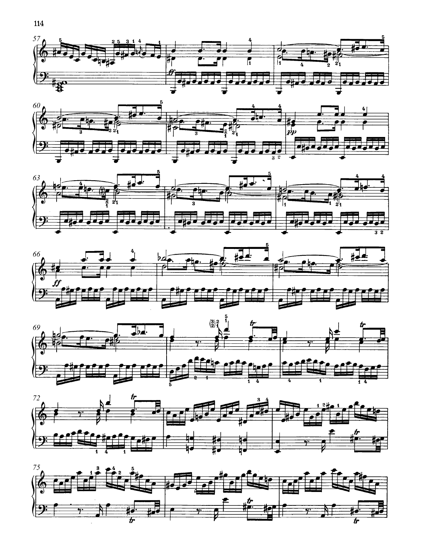











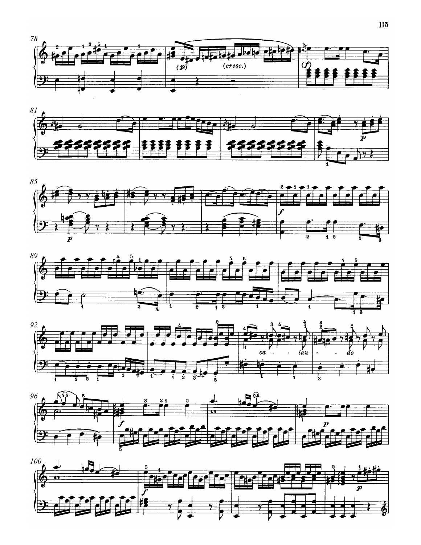







![](_page_6_Figure_4.jpeg)

![](_page_6_Figure_5.jpeg)

![](_page_6_Figure_6.jpeg)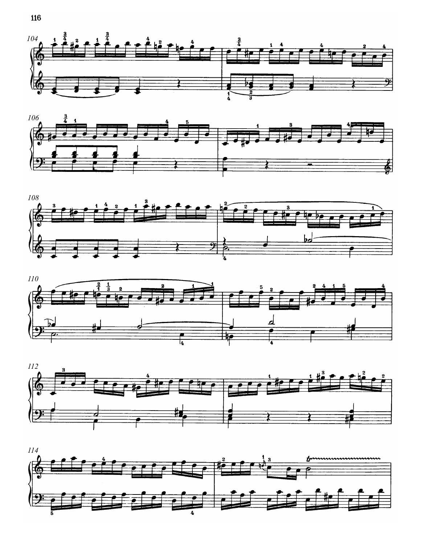![](_page_7_Figure_0.jpeg)

![](_page_7_Figure_1.jpeg)

![](_page_7_Figure_2.jpeg)

![](_page_7_Figure_3.jpeg)

![](_page_7_Figure_4.jpeg)

![](_page_7_Figure_5.jpeg)